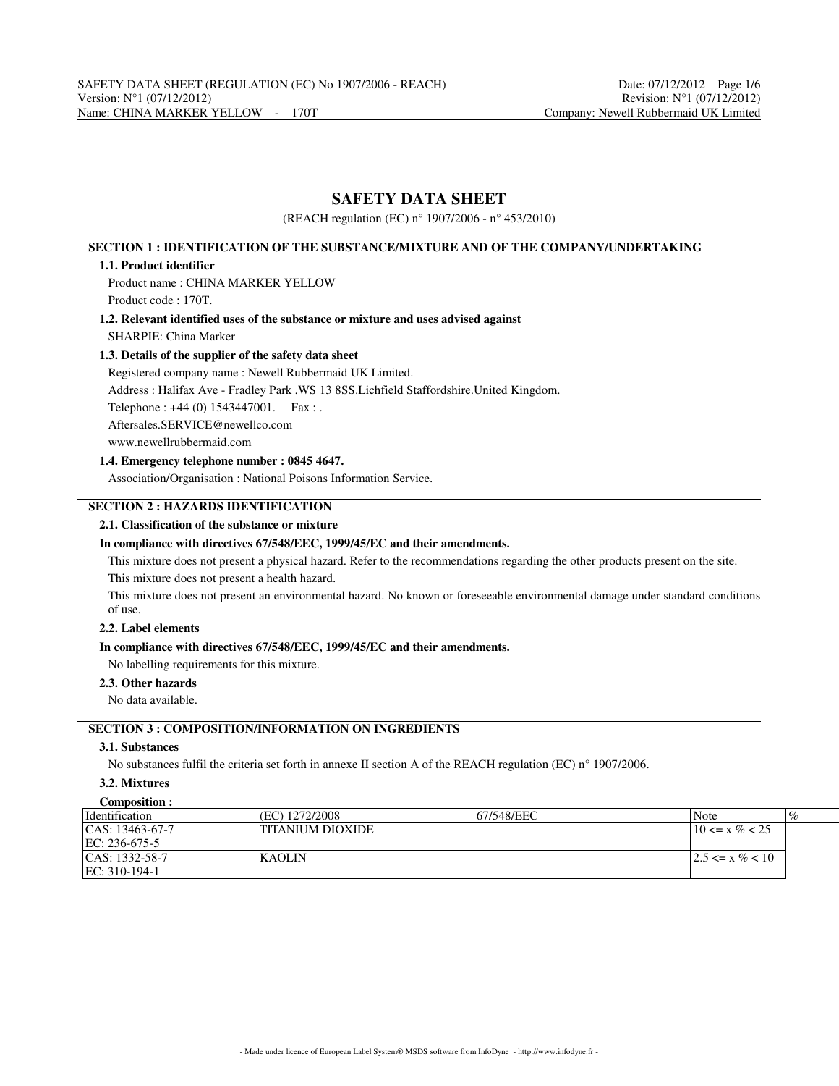# **SAFETY DATA SHEET**

(REACH regulation (EC) n° 1907/2006 - n° 453/2010)

# **SECTION 1 : IDENTIFICATION OF THE SUBSTANCE/MIXTURE AND OF THE COMPANY/UNDERTAKING**

## **1.1. Product identifier**

Product name : CHINA MARKER YELLOW Product code : 170T.

**1.2. Relevant identified uses of the substance or mixture and uses advised against** SHARPIE: China Marker

## **1.3. Details of the supplier of the safety data sheet**

Registered company name : Newell Rubbermaid UK Limited.

Address : Halifax Ave - Fradley Park .WS 13 8SS.Lichfield Staffordshire.United Kingdom.

Telephone : +44 (0) 1543447001. Fax : .

Aftersales.SERVICE@newellco.com

www.newellrubbermaid.com

## **1.4. Emergency telephone number : 0845 4647.**

Association/Organisation : National Poisons Information Service.

# **SECTION 2 : HAZARDS IDENTIFICATION**

## **2.1. Classification of the substance or mixture**

## **In compliance with directives 67/548/EEC, 1999/45/EC and their amendments.**

This mixture does not present a physical hazard. Refer to the recommendations regarding the other products present on the site. This mixture does not present a health hazard.

This mixture does not present an environmental hazard. No known or foreseeable environmental damage under standard conditions of use.

# **2.2. Label elements**

## **In compliance with directives 67/548/EEC, 1999/45/EC and their amendments.**

No labelling requirements for this mixture.

## **2.3. Other hazards**

No data available.

# **SECTION 3 : COMPOSITION/INFORMATION ON INGREDIENTS**

## **3.1. Substances**

No substances fulfil the criteria set forth in annexe II section A of the REACH regulation (EC) n° 1907/2006.

#### **3.2. Mixtures Composition :**

| COMPOSITION :        |                   |            |                     |
|----------------------|-------------------|------------|---------------------|
| <i>dentification</i> | (EC) 1272/2008    | 67/548/EEC | $\%$<br>Note        |
| $ CAS: 13463-67-7$   | 'TITANIUM DIOXIDE |            | $10 \le x \% < 25$  |
| EC: 236-675-5        |                   |            |                     |
| $ CAS: 1332-58-7$    | <b>KAOLIN</b>     |            | $ 2.5 \le x \ll 10$ |
| EC: 310-194-1        |                   |            |                     |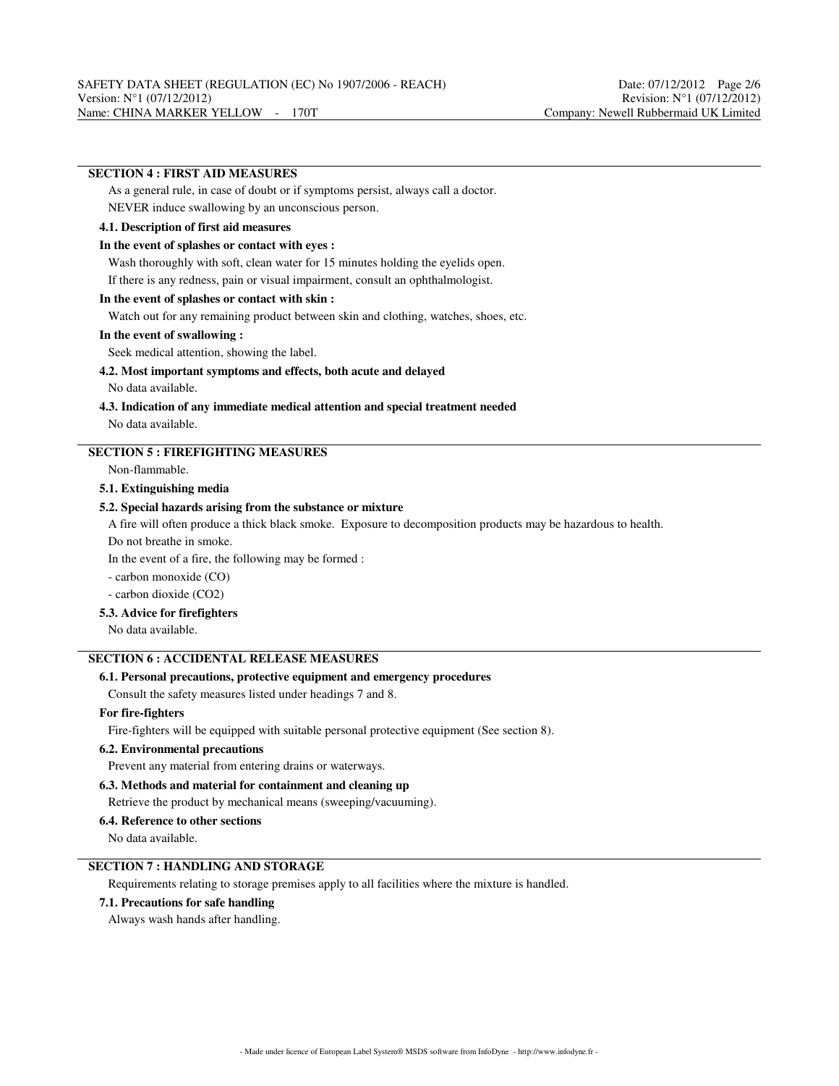# **SECTION 4 : FIRST AID MEASURES**

As a general rule, in case of doubt or if symptoms persist, always call a doctor. NEVER induce swallowing by an unconscious person.

# **4.1. Description of first aid measures**

### **In the event of splashes or contact with eyes :**

Wash thoroughly with soft, clean water for 15 minutes holding the eyelids open.

If there is any redness, pain or visual impairment, consult an ophthalmologist.

## **In the event of splashes or contact with skin :**

Watch out for any remaining product between skin and clothing, watches, shoes, etc.

### **In the event of swallowing :**

Seek medical attention, showing the label.

## **4.2. Most important symptoms and effects, both acute and delayed**

No data available.

## **4.3. Indication of any immediate medical attention and special treatment needed** No data available.

# **SECTION 5 : FIREFIGHTING MEASURES**

Non-flammable.

## **5.1. Extinguishing media**

### **5.2. Special hazards arising from the substance or mixture**

A fire will often produce a thick black smoke. Exposure to decomposition products may be hazardous to health.

Do not breathe in smoke.

In the event of a fire, the following may be formed :

- carbon monoxide (CO)

- carbon dioxide (CO2)

## **5.3. Advice for firefighters**

No data available.

# **SECTION 6 : ACCIDENTAL RELEASE MEASURES**

## **6.1. Personal precautions, protective equipment and emergency procedures**

Consult the safety measures listed under headings 7 and 8.

### **For fire-fighters**

Fire-fighters will be equipped with suitable personal protective equipment (See section 8).

## **6.2. Environmental precautions**

Prevent any material from entering drains or waterways.

### **6.3. Methods and material for containment and cleaning up**

Retrieve the product by mechanical means (sweeping/vacuuming).

#### **6.4. Reference to other sections**

No data available.

# **SECTION 7 : HANDLING AND STORAGE**

Requirements relating to storage premises apply to all facilities where the mixture is handled.

## **7.1. Precautions for safe handling**

Always wash hands after handling.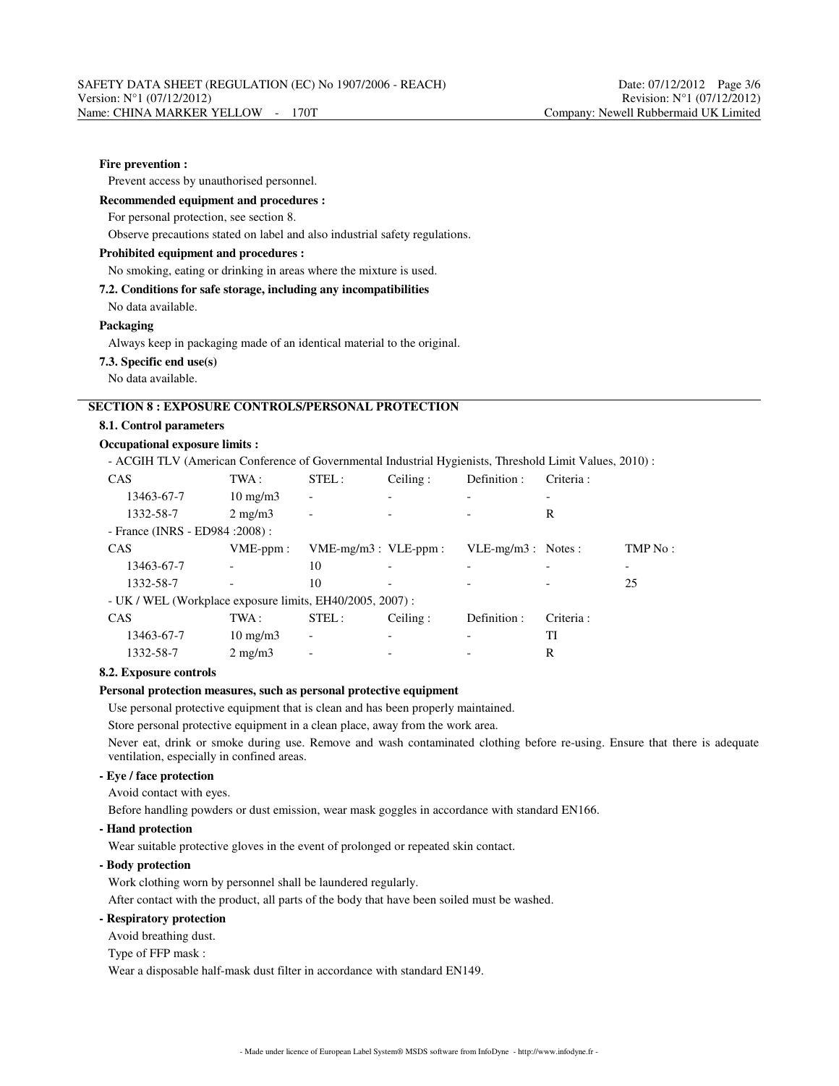## **Fire prevention :**

Prevent access by unauthorised personnel.

## **Recommended equipment and procedures :**

For personal protection, see section 8.

Observe precautions stated on label and also industrial safety regulations.

#### **Prohibited equipment and procedures :**

#### No smoking, eating or drinking in areas where the mixture is used.

**7.2. Conditions for safe storage, including any incompatibilities**

No data available.

#### **Packaging**

Always keep in packaging made of an identical material to the original.

#### **7.3. Specific end use(s)**

No data available.

# **SECTION 8 : EXPOSURE CONTROLS/PERSONAL PROTECTION**

## **8.1. Control parameters**

# **Occupational exposure limits :**

- ACGIH TLV (American Conference of Governmental Industrial Hygienists, Threshold Limit Values, 2010) :

| CAS                                                       | TWA:              | STEL:                        | Ceiling: | Definition :         | Criteria: |         |  |  |
|-----------------------------------------------------------|-------------------|------------------------------|----------|----------------------|-----------|---------|--|--|
| 13463-67-7                                                | $10 \text{ mg/m}$ | $\overline{a}$               |          |                      |           |         |  |  |
| 1332-58-7                                                 | $2 \text{ mg/m}$  | $\overline{a}$               |          |                      | R         |         |  |  |
| - France (INRS - ED984 : 2008) :                          |                   |                              |          |                      |           |         |  |  |
| CAS                                                       | $VME-ppm$ :       | $VME-mg/m3$ : $VLE-ppm$ :    |          | $VLE-mg/m3$ : Notes: |           | TMP No: |  |  |
| 13463-67-7                                                |                   | 10                           |          |                      |           |         |  |  |
| 1332-58-7                                                 |                   | 10                           |          |                      |           | 25      |  |  |
| - UK / WEL (Workplace exposure limits, EH40/2005, 2007) : |                   |                              |          |                      |           |         |  |  |
| CAS                                                       | TWA :             | STEL:                        | Ceiling: | Definition :         | Criteria: |         |  |  |
| 13463-67-7                                                | $10 \text{ mg/m}$ | $\qquad \qquad \blacksquare$ |          |                      | TI        |         |  |  |
| 1332-58-7                                                 | $2 \text{ mg/m}$  |                              |          |                      | R         |         |  |  |

#### **8.2. Exposure controls**

### **Personal protection measures, such as personal protective equipment**

Use personal protective equipment that is clean and has been properly maintained.

Store personal protective equipment in a clean place, away from the work area.

Never eat, drink or smoke during use. Remove and wash contaminated clothing before re-using. Ensure that there is adequate ventilation, especially in confined areas.

# **- Eye / face protection**

Avoid contact with eyes.

Before handling powders or dust emission, wear mask goggles in accordance with standard EN166.

**- Hand protection**

Wear suitable protective gloves in the event of prolonged or repeated skin contact.

## **- Body protection**

Work clothing worn by personnel shall be laundered regularly.

After contact with the product, all parts of the body that have been soiled must be washed.

## **- Respiratory protection**

Avoid breathing dust.

Type of FFP mask :

Wear a disposable half-mask dust filter in accordance with standard EN149.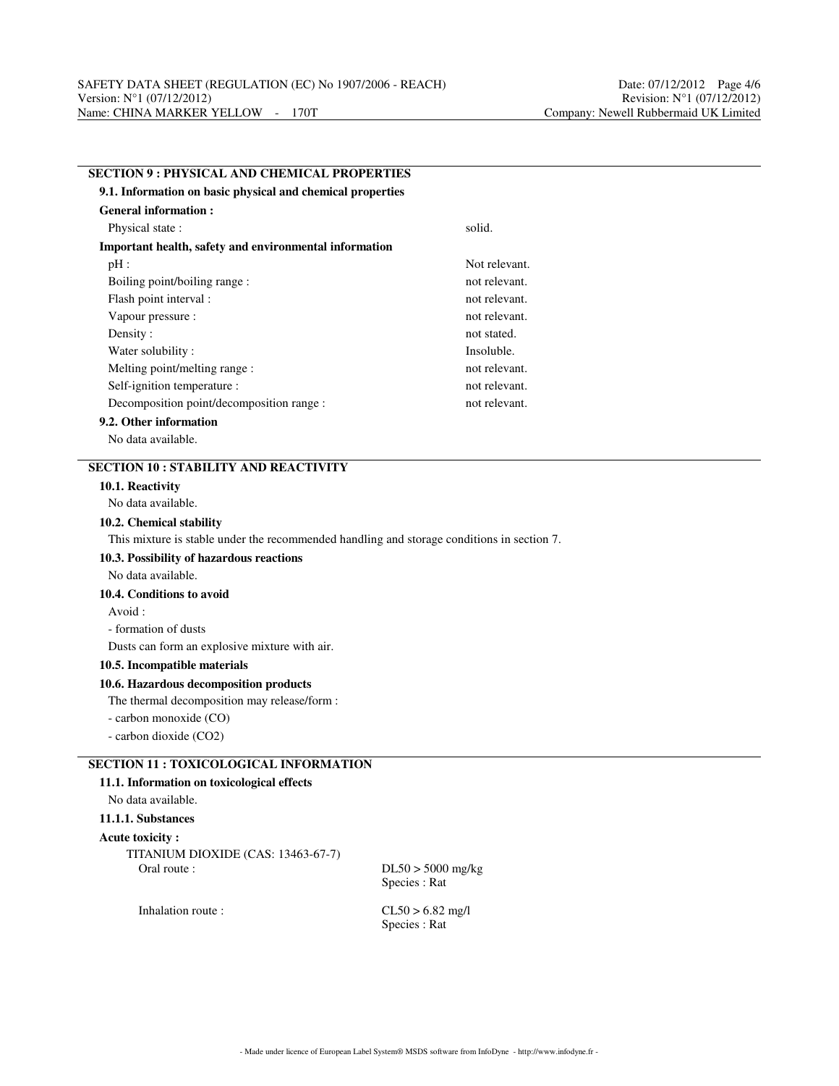| <b>SECTION 9: PHYSICAL AND CHEMICAL PROPERTIES</b>                                         |               |  |  |  |  |
|--------------------------------------------------------------------------------------------|---------------|--|--|--|--|
| 9.1. Information on basic physical and chemical properties                                 |               |  |  |  |  |
| <b>General information:</b>                                                                |               |  |  |  |  |
| Physical state:                                                                            | solid.        |  |  |  |  |
| Important health, safety and environmental information                                     |               |  |  |  |  |
| $pH$ :                                                                                     | Not relevant. |  |  |  |  |
| Boiling point/boiling range:                                                               | not relevant. |  |  |  |  |
| Flash point interval :                                                                     | not relevant. |  |  |  |  |
| Vapour pressure :                                                                          | not relevant. |  |  |  |  |
| Density:                                                                                   | not stated.   |  |  |  |  |
| Water solubility:                                                                          | Insoluble.    |  |  |  |  |
| Melting point/melting range:                                                               | not relevant. |  |  |  |  |
| Self-ignition temperature :                                                                | not relevant. |  |  |  |  |
| Decomposition point/decomposition range :                                                  | not relevant. |  |  |  |  |
| 9.2. Other information                                                                     |               |  |  |  |  |
| No data available.                                                                         |               |  |  |  |  |
| <b>SECTION 10: STABILITY AND REACTIVITY</b>                                                |               |  |  |  |  |
| 10.1. Reactivity                                                                           |               |  |  |  |  |
| No data available.                                                                         |               |  |  |  |  |
| 10.2. Chemical stability                                                                   |               |  |  |  |  |
| This mixture is stable under the recommended handling and storage conditions in section 7. |               |  |  |  |  |
| 10.3. Possibility of hazardous reactions                                                   |               |  |  |  |  |
| No data available.                                                                         |               |  |  |  |  |
| 10.4. Conditions to avoid                                                                  |               |  |  |  |  |
| Avoid:                                                                                     |               |  |  |  |  |
| - formation of dusts                                                                       |               |  |  |  |  |
| Dusts can form an explosive mixture with air.                                              |               |  |  |  |  |
| 10.5. Incompatible materials                                                               |               |  |  |  |  |
| 10.6. Hazardous decomposition products                                                     |               |  |  |  |  |
| The thermal decomposition may release/form :                                               |               |  |  |  |  |
| - carbon monoxide (CO)                                                                     |               |  |  |  |  |
| - carbon dioxide (CO2)                                                                     |               |  |  |  |  |
| <b>SECTION 11 : TOXICOLOGICAL INFORMATION</b>                                              |               |  |  |  |  |
| 11.1. Information on toxicological effects                                                 |               |  |  |  |  |
| No data available.                                                                         |               |  |  |  |  |
| 11.1.1. Substances                                                                         |               |  |  |  |  |
| Acute toxicity:                                                                            |               |  |  |  |  |

TITANIUM DIOXIDE (CAS: 13463-67-7)

 $DL50 > 5000$  mg/kg Species : Rat

Inhalation route : CL50 > 6.82 mg/l Species : Rat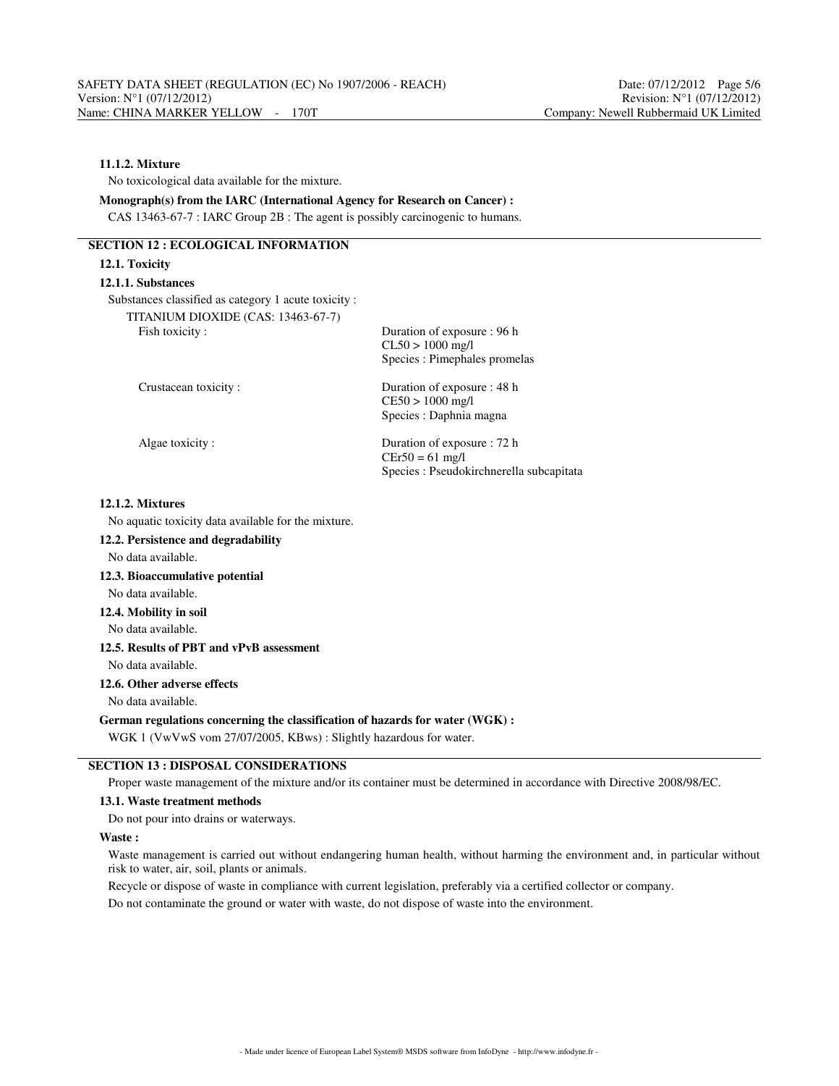# **11.1.2. Mixture**

No toxicological data available for the mixture.

**Monograph(s) from the IARC (International Agency for Research on Cancer) :** CAS 13463-67-7 : IARC Group 2B : The agent is possibly carcinogenic to humans.

# **SECTION 12 : ECOLOGICAL INFORMATION**

# **12.1. Toxicity 12.1.1. Substances** Substances classified as category 1 acute toxicity : TITANIUM DIOXIDE (CAS: 13463-67-7) Fish toxicity : Duration of exposure : 96 h CL50 > 1000 mg/l Species : Pimephales promelas Crustacean toxicity : Duration of exposure : 48 h CE50 > 1000 mg/l Species : Daphnia magna Algae toxicity : Duration of exposure : 72 h  $CEr50 = 61$  mg/l

## **12.1.2. Mixtures**

No aquatic toxicity data available for the mixture.

- **12.2. Persistence and degradability**
- No data available.

# **12.3. Bioaccumulative potential**

No data available.

# **12.4. Mobility in soil**

No data available.

## **12.5. Results of PBT and vPvB assessment**

No data available.

### **12.6. Other adverse effects**

No data available.

### **German regulations concerning the classification of hazards for water (WGK) :**

WGK 1 (VwVwS vom 27/07/2005, KBws) : Slightly hazardous for water.

# **SECTION 13 : DISPOSAL CONSIDERATIONS**

Proper waste management of the mixture and/or its container must be determined in accordance with Directive 2008/98/EC.

### **13.1. Waste treatment methods**

Do not pour into drains or waterways.

#### **Waste :**

Waste management is carried out without endangering human health, without harming the environment and, in particular without risk to water, air, soil, plants or animals.

Species : Pseudokirchnerella subcapitata

Recycle or dispose of waste in compliance with current legislation, preferably via a certified collector or company.

Do not contaminate the ground or water with waste, do not dispose of waste into the environment.